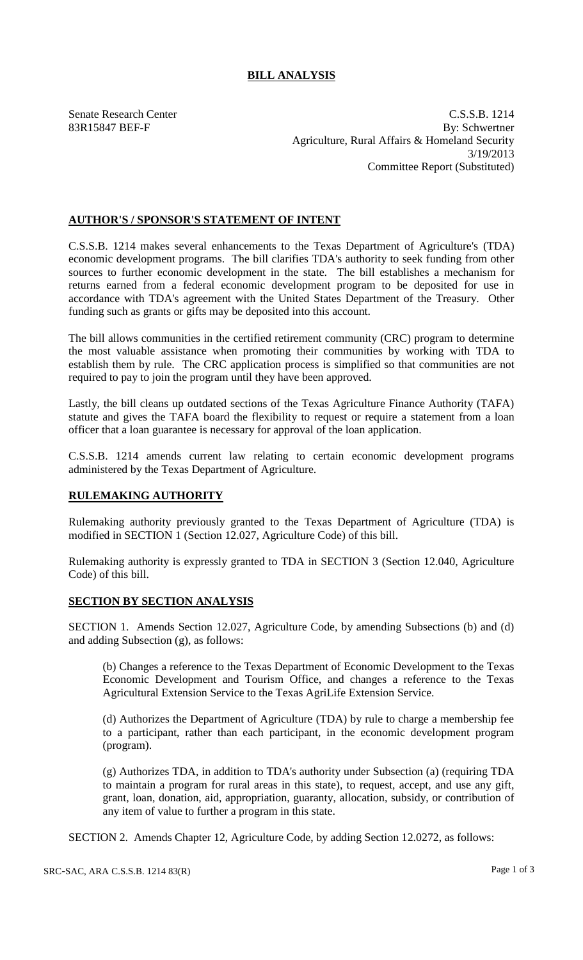## **BILL ANALYSIS**

Senate Research Center C.S.S.B. 1214 83R15847 BEF-F By: Schwertner Agriculture, Rural Affairs & Homeland Security 3/19/2013 Committee Report (Substituted)

## **AUTHOR'S / SPONSOR'S STATEMENT OF INTENT**

C.S.S.B. 1214 makes several enhancements to the Texas Department of Agriculture's (TDA) economic development programs. The bill clarifies TDA's authority to seek funding from other sources to further economic development in the state. The bill establishes a mechanism for returns earned from a federal economic development program to be deposited for use in accordance with TDA's agreement with the United States Department of the Treasury. Other funding such as grants or gifts may be deposited into this account.

The bill allows communities in the certified retirement community (CRC) program to determine the most valuable assistance when promoting their communities by working with TDA to establish them by rule. The CRC application process is simplified so that communities are not required to pay to join the program until they have been approved.

Lastly, the bill cleans up outdated sections of the Texas Agriculture Finance Authority (TAFA) statute and gives the TAFA board the flexibility to request or require a statement from a loan officer that a loan guarantee is necessary for approval of the loan application.

C.S.S.B. 1214 amends current law relating to certain economic development programs administered by the Texas Department of Agriculture.

## **RULEMAKING AUTHORITY**

Rulemaking authority previously granted to the Texas Department of Agriculture (TDA) is modified in SECTION 1 (Section 12.027, Agriculture Code) of this bill.

Rulemaking authority is expressly granted to TDA in SECTION 3 (Section 12.040, Agriculture Code) of this bill.

## **SECTION BY SECTION ANALYSIS**

SECTION 1. Amends Section 12.027, Agriculture Code, by amending Subsections (b) and (d) and adding Subsection (g), as follows:

(b) Changes a reference to the Texas Department of Economic Development to the Texas Economic Development and Tourism Office, and changes a reference to the Texas Agricultural Extension Service to the Texas AgriLife Extension Service.

(d) Authorizes the Department of Agriculture (TDA) by rule to charge a membership fee to a participant, rather than each participant, in the economic development program (program).

(g) Authorizes TDA, in addition to TDA's authority under Subsection (a) (requiring TDA to maintain a program for rural areas in this state), to request, accept, and use any gift, grant, loan, donation, aid, appropriation, guaranty, allocation, subsidy, or contribution of any item of value to further a program in this state.

SECTION 2. Amends Chapter 12, Agriculture Code, by adding Section 12.0272, as follows: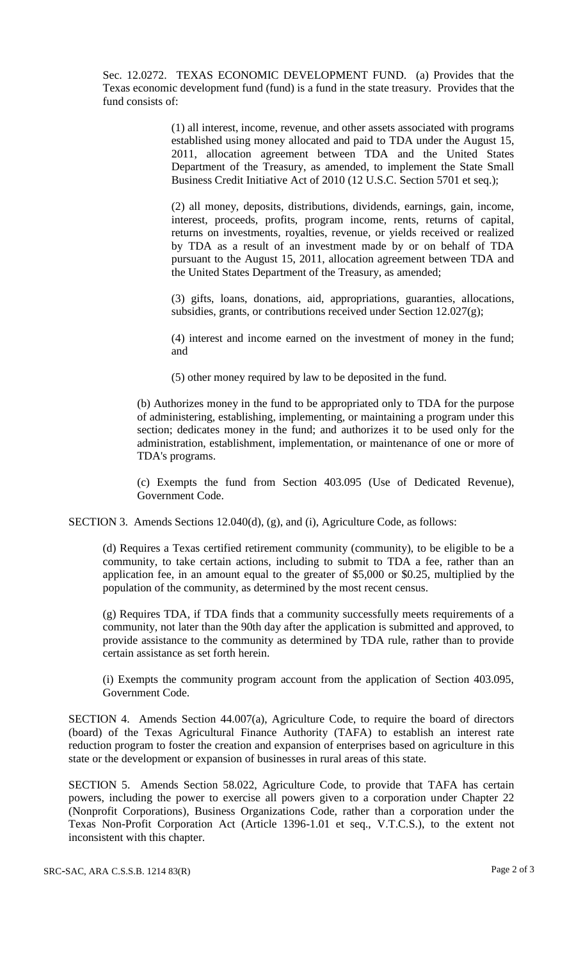Sec. 12.0272. TEXAS ECONOMIC DEVELOPMENT FUND. (a) Provides that the Texas economic development fund (fund) is a fund in the state treasury. Provides that the fund consists of:

> (1) all interest, income, revenue, and other assets associated with programs established using money allocated and paid to TDA under the August 15, 2011, allocation agreement between TDA and the United States Department of the Treasury, as amended, to implement the State Small Business Credit Initiative Act of 2010 (12 U.S.C. Section 5701 et seq.);

> (2) all money, deposits, distributions, dividends, earnings, gain, income, interest, proceeds, profits, program income, rents, returns of capital, returns on investments, royalties, revenue, or yields received or realized by TDA as a result of an investment made by or on behalf of TDA pursuant to the August 15, 2011, allocation agreement between TDA and the United States Department of the Treasury, as amended;

> (3) gifts, loans, donations, aid, appropriations, guaranties, allocations, subsidies, grants, or contributions received under Section 12.027(g);

> (4) interest and income earned on the investment of money in the fund; and

(5) other money required by law to be deposited in the fund.

(b) Authorizes money in the fund to be appropriated only to TDA for the purpose of administering, establishing, implementing, or maintaining a program under this section; dedicates money in the fund; and authorizes it to be used only for the administration, establishment, implementation, or maintenance of one or more of TDA's programs.

(c) Exempts the fund from Section 403.095 (Use of Dedicated Revenue), Government Code.

SECTION 3. Amends Sections 12.040(d), (g), and (i), Agriculture Code, as follows:

(d) Requires a Texas certified retirement community (community), to be eligible to be a community, to take certain actions, including to submit to TDA a fee, rather than an application fee, in an amount equal to the greater of \$5,000 or \$0.25, multiplied by the population of the community, as determined by the most recent census.

(g) Requires TDA, if TDA finds that a community successfully meets requirements of a community, not later than the 90th day after the application is submitted and approved, to provide assistance to the community as determined by TDA rule, rather than to provide certain assistance as set forth herein.

(i) Exempts the community program account from the application of Section 403.095, Government Code.

SECTION 4. Amends Section 44.007(a), Agriculture Code, to require the board of directors (board) of the Texas Agricultural Finance Authority (TAFA) to establish an interest rate reduction program to foster the creation and expansion of enterprises based on agriculture in this state or the development or expansion of businesses in rural areas of this state.

SECTION 5. Amends Section 58.022, Agriculture Code, to provide that TAFA has certain powers, including the power to exercise all powers given to a corporation under Chapter 22 (Nonprofit Corporations), Business Organizations Code, rather than a corporation under the Texas Non-Profit Corporation Act (Article 1396-1.01 et seq., V.T.C.S.), to the extent not inconsistent with this chapter.